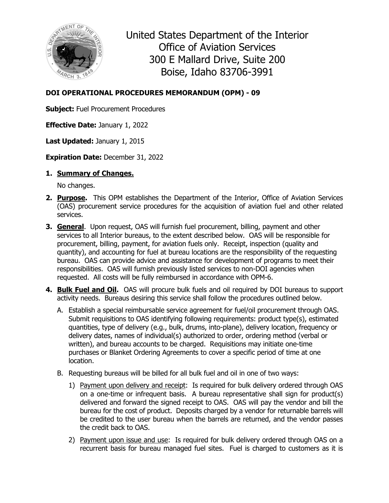

United States Department of the Interior Office of Aviation Services 300 E Mallard Drive, Suite 200 Boise, Idaho 83706-3991

## **DOI OPERATIONAL PROCEDURES MEMORANDUM (OPM) - 09**

**Subject:** Fuel Procurement Procedures

**Effective Date:** January 1, 2022

**Last Updated:** January 1, 2015

**Expiration Date:** December 31, 2022

## **1. Summary of Changes.**

No changes.

- **2. Purpose.** This OPM establishes the Department of the Interior, Office of Aviation Services (OAS) procurement service procedures for the acquisition of aviation fuel and other related services.
- **3. General**. Upon request, OAS will furnish fuel procurement, billing, payment and other services to all Interior bureaus, to the extent described below. OAS will be responsible for procurement, billing, payment, for aviation fuels only. Receipt, inspection (quality and quantity), and accounting for fuel at bureau locations are the responsibility of the requesting bureau. OAS can provide advice and assistance for development of programs to meet their responsibilities. OAS will furnish previously listed services to non-DOI agencies when requested. All costs will be fully reimbursed in accordance with OPM-6.
- **4. Bulk Fuel and Oil.** OAS will procure bulk fuels and oil required by DOI bureaus to support activity needs. Bureaus desiring this service shall follow the procedures outlined below.
	- A. Establish a special reimbursable service agreement for fuel/oil procurement through OAS. Submit requisitions to OAS identifying following requirements: product type(s), estimated quantities, type of delivery (e.g., bulk, drums, into-plane), delivery location, frequency or delivery dates, names of individual(s) authorized to order, ordering method (verbal or written), and bureau accounts to be charged. Requisitions may initiate one-time purchases or Blanket Ordering Agreements to cover a specific period of time at one location.
	- B. Requesting bureaus will be billed for all bulk fuel and oil in one of two ways:
		- 1) Payment upon delivery and receipt: Is required for bulk delivery ordered through OAS on a one-time or infrequent basis. A bureau representative shall sign for product(s) delivered and forward the signed receipt to OAS. OAS will pay the vendor and bill the bureau for the cost of product. Deposits charged by a vendor for returnable barrels will be credited to the user bureau when the barrels are returned, and the vendor passes the credit back to OAS.
		- 2) Payment upon issue and use: Is required for bulk delivery ordered through OAS on a recurrent basis for bureau managed fuel sites. Fuel is charged to customers as it is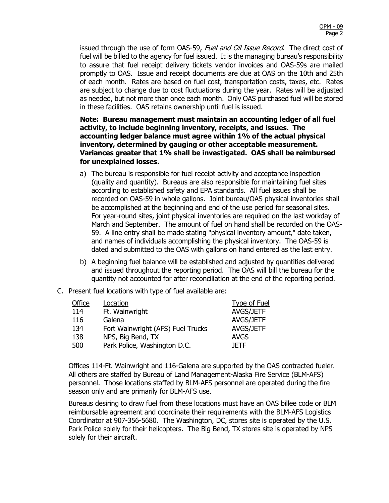issued through the use of form OAS-59, Fuel and Oil Issue Record. The direct cost of fuel will be billed to the agency for fuel issued. It is the managing bureau's responsibility to assure that fuel receipt delivery tickets vendor invoices and OAS-59s are mailed promptly to OAS. Issue and receipt documents are due at OAS on the 10th and 25th of each month. Rates are based on fuel cost, transportation costs, taxes, etc. Rates are subject to change due to cost fluctuations during the year. Rates will be adjusted as needed, but not more than once each month. Only OAS purchased fuel will be stored in these facilities. OAS retains ownership until fuel is issued.

**Note: Bureau management must maintain an accounting ledger of all fuel activity, to include beginning inventory, receipts, and issues. The accounting ledger balance must agree within 1% of the actual physical inventory, determined by gauging or other acceptable measurement. Variances greater that 1% shall be investigated. OAS shall be reimbursed for unexplained losses.**

- a) The bureau is responsible for fuel receipt activity and acceptance inspection (quality and quantity). Bureaus are also responsible for maintaining fuel sites according to established safety and EPA standards. All fuel issues shall be recorded on OAS-59 in whole gallons. Joint bureau/OAS physical inventories shall be accomplished at the beginning and end of the use period for seasonal sites. For year-round sites, joint physical inventories are required on the last workday of March and September. The amount of fuel on hand shall be recorded on the OAS-59. A line entry shall be made stating "physical inventory amount," date taken, and names of individuals accomplishing the physical inventory. The OAS-59 is dated and submitted to the OAS with gallons on hand entered as the last entry.
- b) A beginning fuel balance will be established and adjusted by quantities delivered and issued throughout the reporting period. The OAS will bill the bureau for the quantity not accounted for after reconciliation at the end of the reporting period.
- C. Present fuel locations with type of fuel available are:

| Office | Location                          | <b>Type of Fuel</b> |
|--------|-----------------------------------|---------------------|
| 114    | Ft. Wainwright                    | AVGS/JETF           |
| 116    | Galena                            | AVGS/JETF           |
| 134    | Fort Wainwright (AFS) Fuel Trucks | AVGS/JETF           |
| 138    | NPS, Big Bend, TX                 | <b>AVGS</b>         |
| 500    | Park Police, Washington D.C.      | <b>JFTF</b>         |
|        |                                   |                     |

Offices 114-Ft. Wainwright and 116-Galena are supported by the OAS contracted fueler. All others are staffed by Bureau of Land Management-Alaska Fire Service (BLM-AFS) personnel. Those locations staffed by BLM-AFS personnel are operated during the fire season only and are primarily for BLM-AFS use.

Bureaus desiring to draw fuel from these locations must have an OAS billee code or BLM reimbursable agreement and coordinate their requirements with the BLM-AFS Logistics Coordinator at 907-356-5680. The Washington, DC, stores site is operated by the U.S. Park Police solely for their helicopters. The Big Bend, TX stores site is operated by NPS solely for their aircraft.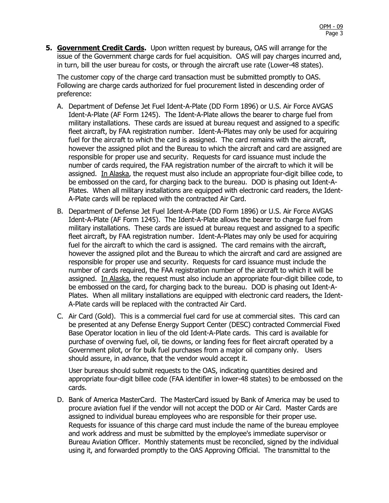**5. Government Credit Cards.** Upon written request by bureaus, OAS will arrange for the issue of the Government charge cards for fuel acquisition. OAS will pay charges incurred and, in turn, bill the user bureau for costs, or through the aircraft use rate (Lower-48 states).

The customer copy of the charge card transaction must be submitted promptly to OAS. Following are charge cards authorized for fuel procurement listed in descending order of preference:

- A. Department of Defense Jet Fuel Ident-A-Plate (DD Form 1896) or U.S. Air Force AVGAS Ident-A-Plate (AF Form 1245). The Ident-A-Plate allows the bearer to charge fuel from military installations. These cards are issued at bureau request and assigned to a specific fleet aircraft, by FAA registration number. Ident-A-Plates may only be used for acquiring fuel for the aircraft to which the card is assigned. The card remains with the aircraft, however the assigned pilot and the Bureau to which the aircraft and card are assigned are responsible for proper use and security. Requests for card issuance must include the number of cards required, the FAA registration number of the aircraft to which it will be assigned. In Alaska, the request must also include an appropriate four-digit billee code, to be embossed on the card, for charging back to the bureau. DOD is phasing out Ident-A-Plates. When all military installations are equipped with electronic card readers, the Ident-A-Plate cards will be replaced with the contracted Air Card.
- B. Department of Defense Jet Fuel Ident-A-Plate (DD Form 1896) or U.S. Air Force AVGAS Ident-A-Plate (AF Form 1245). The Ident-A-Plate allows the bearer to charge fuel from military installations. These cards are issued at bureau request and assigned to a specific fleet aircraft, by FAA registration number. Ident-A-Plates may only be used for acquiring fuel for the aircraft to which the card is assigned. The card remains with the aircraft, however the assigned pilot and the Bureau to which the aircraft and card are assigned are responsible for proper use and security. Requests for card issuance must include the number of cards required, the FAA registration number of the aircraft to which it will be assigned. In Alaska, the request must also include an appropriate four-digit billee code, to be embossed on the card, for charging back to the bureau. DOD is phasing out Ident-A-Plates. When all military installations are equipped with electronic card readers, the Ident-A-Plate cards will be replaced with the contracted Air Card.
- C. Air Card (Gold). This is a commercial fuel card for use at commercial sites. This card can be presented at any Defense Energy Support Center (DESC) contracted Commercial Fixed Base Operator location in lieu of the old Ident-A-Plate cards. This card is available for purchase of overwing fuel, oil, tie downs, or landing fees for fleet aircraft operated by a Government pilot, or for bulk fuel purchases from a major oil company only. Users should assure, in advance, that the vendor would accept it.

User bureaus should submit requests to the OAS, indicating quantities desired and appropriate four-digit billee code (FAA identifier in lower-48 states) to be embossed on the cards.

D. Bank of America MasterCard. The MasterCard issued by Bank of America may be used to procure aviation fuel if the vendor will not accept the DOD or Air Card. Master Cards are assigned to individual bureau employees who are responsible for their proper use. Requests for issuance of this charge card must include the name of the bureau employee and work address and must be submitted by the employee's immediate supervisor or Bureau Aviation Officer. Monthly statements must be reconciled, signed by the individual using it, and forwarded promptly to the OAS Approving Official. The transmittal to the